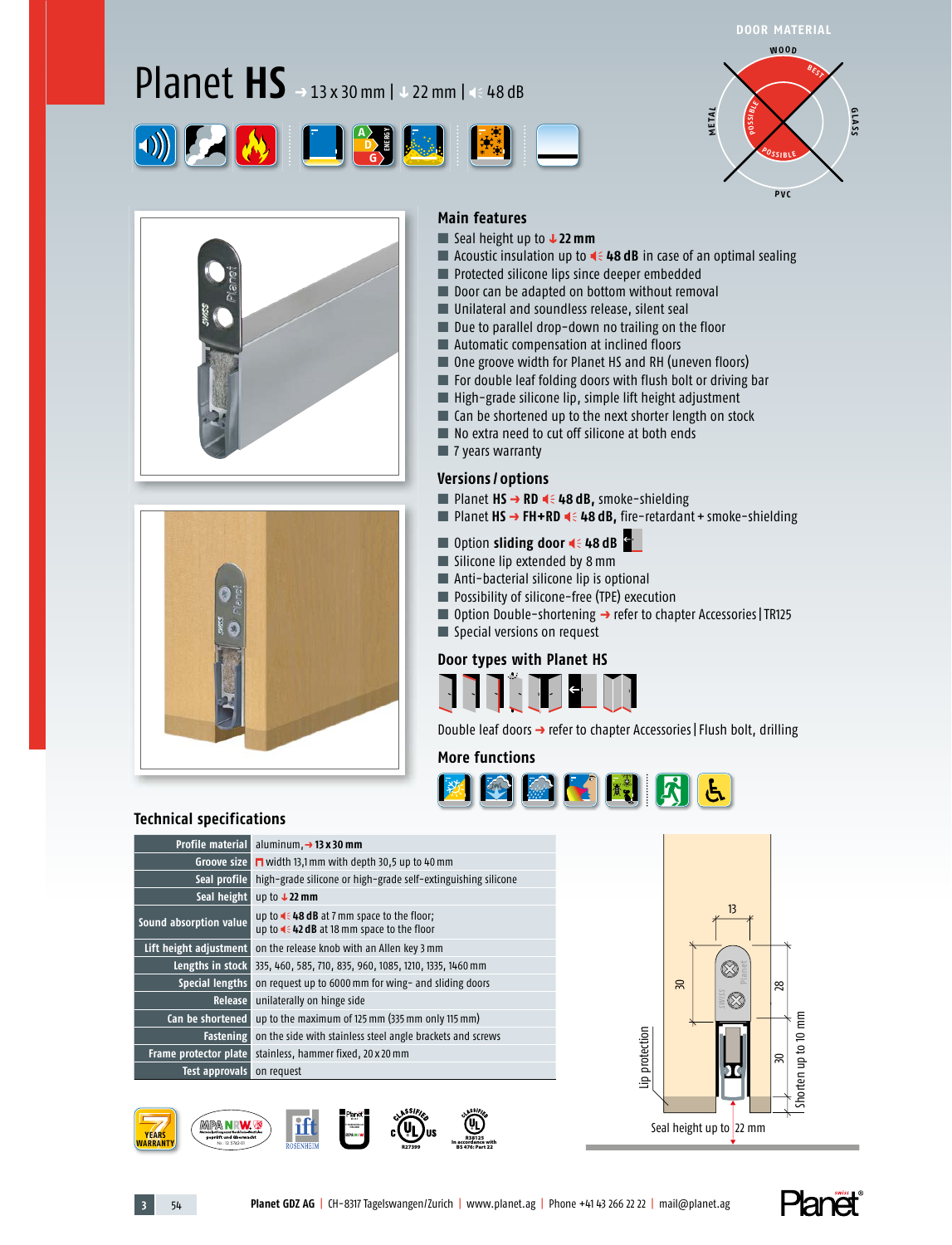# Planet **HS** *<sup>p</sup>* 13 x 30 mm | *q* 22 mm | 48 dB









#### **Main features**

- Seal height up to **↓22 mm**
- Acoustic insulation up to **4 48 dB** in case of an optimal sealing
- Protected silicone lips since deeper embedded
- Door can be adapted on bottom without removal
- Unilateral and soundless release, silent seal
- Due to parallel drop-down no trailing on the floor
- Automatic compensation at inclined floors
- One groove width for Planet HS and RH (uneven floors)
- For double leaf folding doors with flush bolt or driving bar
- High-grade silicone lip, simple lift height adjustment
- Can be shortened up to the next shorter length on stock
- No extra need to cut off silicone at both ends
- 7 years warranty

#### **Versions / options**

- Planet HS → RD < 48 dB, smoke-shielding
- Planet HS → FH+RD **4** 48 dB, fire-retardant + smoke-shielding
- Option **sliding door 46 48 dB**
- Silicone lip extended by 8 mm
- Anti-bacterial silicone lip is optional
- Possibility of silicone-free (TPE) execution
- Option Double-shortening → refer to chapter Accessories | TR125
- Special versions on request

#### **Door types with Planet HS**



Double leaf doors → refer to chapter Accessories | Flush bolt, drilling

#### **More functions**



#### **Technical specifications**

| <b>Profile material</b> | aluminum, $\rightarrow$ 13 x 30 mm                                                                    |
|-------------------------|-------------------------------------------------------------------------------------------------------|
| Groove size             | $\Box$ width 13,1 mm with depth 30,5 up to 40 mm                                                      |
| Seal profile            | high-grade silicone or high-grade self-extinguishing silicone                                         |
| Seal height             | up to $122$ mm                                                                                        |
| Sound absorption value  | up to $\triangleleft$ 48 dB at 7 mm space to the floor;<br>up to << 42 dB at 18 mm space to the floor |
| Lift height adjustment  | on the release knob with an Allen key 3 mm                                                            |
| Lengths in stock        | 335, 460, 585, 710, 835, 960, 1085, 1210, 1335, 1460 mm                                               |
| <b>Special lengths</b>  | on request up to 6000 mm for wing- and sliding doors                                                  |
| <b>Release</b>          | unilaterally on hinge side                                                                            |
| Can be shortened        | up to the maximum of 125 mm (335 mm only 115 mm)                                                      |
|                         | <b>Fastening</b> on the side with stainless steel angle brackets and screws                           |
| Frame protector plate   | stainless, hammer fixed, 20 x 20 mm                                                                   |
| Test approvals          | on request                                                                                            |
|                         |                                                                                                       |